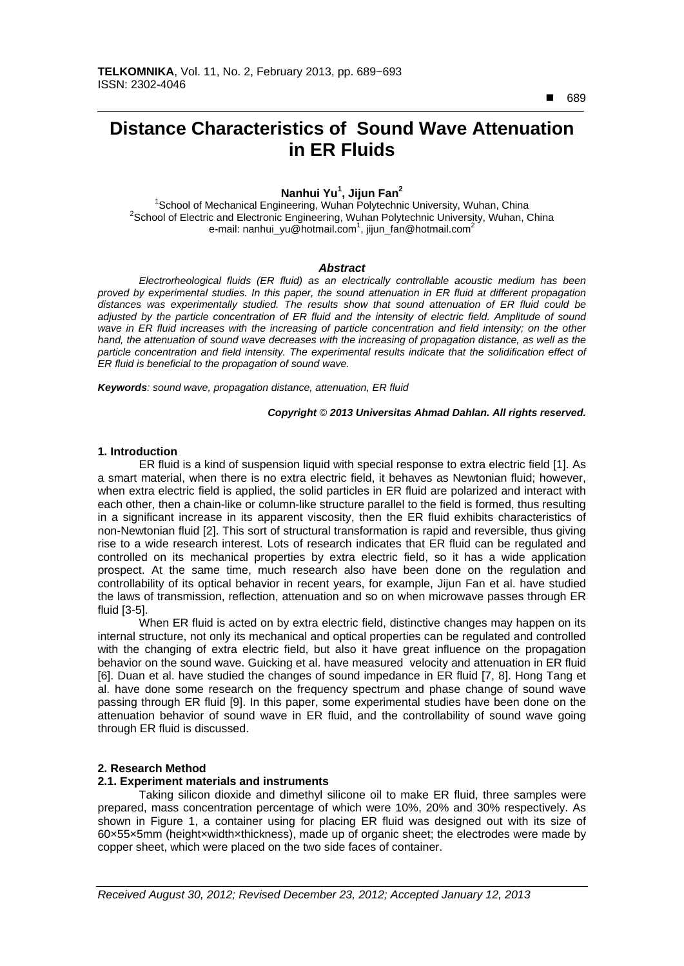■ 689

 $\overline{a}$ 

# **Distance Characteristics of Sound Wave Attenuation in ER Fluids**

## **Nanhui Yu<sup>1</sup> , Jijun Fan<sup>2</sup>**

<sup>1</sup>School of Mechanical Engineering, Wuhan Polytechnic University, Wuhan, China<br><sup>2</sup>Sebeel of Fleetin and Fleetrenic Engineering, Wuhan Polytechnic University, Wuhan, C <sup>2</sup>School of Electric and Electronic Engineering, Wuhan Polytechnic University, Wuhan, China e-mail: nanhui\_yu@hotmail.com<sup>1</sup>, jijun\_fan@hotmail.com<sup>2</sup>

### *Abstract*

*Electrorheological fluids (ER fluid) as an electrically controllable acoustic medium has been proved by experimental studies. In this paper, the sound attenuation in ER fluid at different propagation distances was experimentally studied. The results show that sound attenuation of ER fluid could be adjusted by the particle concentration of ER fluid and the intensity of electric field. Amplitude of sound wave in ER fluid increases with the increasing of particle concentration and field intensity; on the other hand, the attenuation of sound wave decreases with the increasing of propagation distance, as well as the particle concentration and field intensity. The experimental results indicate that the solidification effect of ER fluid is beneficial to the propagation of sound wave.* 

*Keywords: sound wave, propagation distance, attenuation, ER fluid*

#### *Copyright* © *2013 Universitas Ahmad Dahlan. All rights reserved.*

#### **1. Introduction**

ER fluid is a kind of suspension liquid with special response to extra electric field [1]. As a smart material, when there is no extra electric field, it behaves as Newtonian fluid; however, when extra electric field is applied, the solid particles in ER fluid are polarized and interact with each other, then a chain-like or column-like structure parallel to the field is formed, thus resulting in a significant increase in its apparent viscosity, then the ER fluid exhibits characteristics of non-Newtonian fluid [2]. This sort of structural transformation is rapid and reversible, thus giving rise to a wide research interest. Lots of research indicates that ER fluid can be regulated and controlled on its mechanical properties by extra electric field, so it has a wide application prospect. At the same time, much research also have been done on the regulation and controllability of its optical behavior in recent years, for example, Jijun Fan et al. have studied the laws of transmission, reflection, attenuation and so on when microwave passes through ER fluid [3-5].

When ER fluid is acted on by extra electric field, distinctive changes may happen on its internal structure, not only its mechanical and optical properties can be regulated and controlled with the changing of extra electric field, but also it have great influence on the propagation behavior on the sound wave. Guicking et al. have measured velocity and attenuation in ER fluid [6]. Duan et al. have studied the changes of sound impedance in ER fluid [7, 8]. Hong Tang et al. have done some research on the frequency spectrum and phase change of sound wave passing through ER fluid [9]. In this paper, some experimental studies have been done on the attenuation behavior of sound wave in ER fluid, and the controllability of sound wave going through ER fluid is discussed.

## **2. Research Method**

#### **2.1. Experiment materials and instruments**

Taking silicon dioxide and dimethyl silicone oil to make ER fluid, three samples were prepared, mass concentration percentage of which were 10%, 20% and 30% respectively. As shown in Figure 1, a container using for placing ER fluid was designed out with its size of 60×55×5mm (height×width×thickness), made up of organic sheet; the electrodes were made by copper sheet, which were placed on the two side faces of container.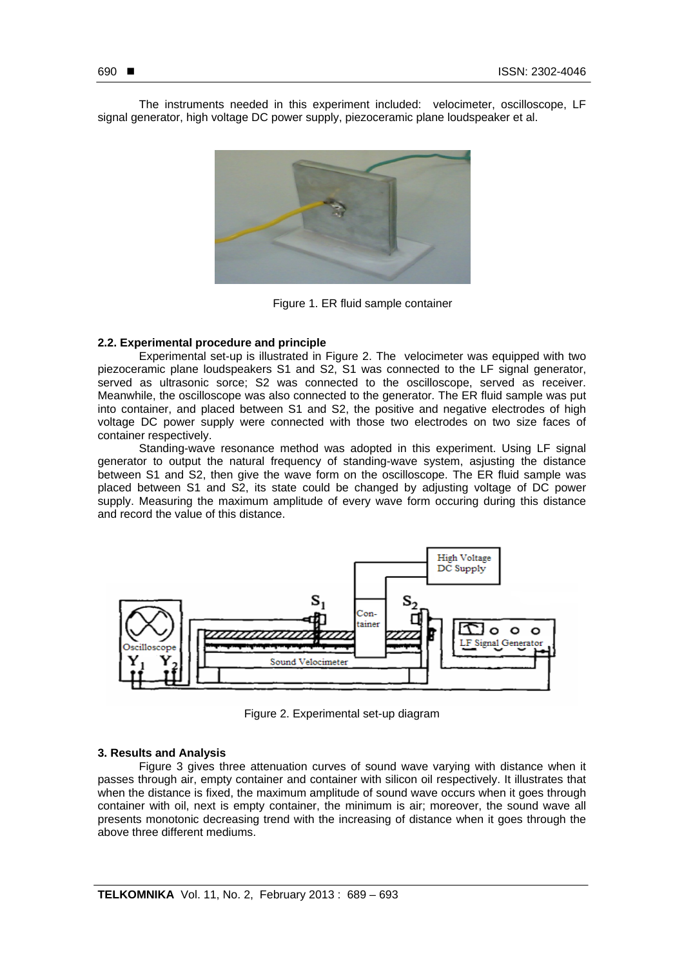The instruments needed in this experiment included: velocimeter, oscilloscope, LF signal generator, high voltage DC power supply, piezoceramic plane loudspeaker et al.



Figure 1. ER fluid sample container

## **2.2. Experimental procedure and principle**

Experimental set-up is illustrated in Figure 2. The velocimeter was equipped with two piezoceramic plane loudspeakers S1 and S2, S1 was connected to the LF signal generator, served as ultrasonic sorce; S2 was connected to the oscilloscope, served as receiver. Meanwhile, the oscilloscope was also connected to the generator. The ER fluid sample was put into container, and placed between S1 and S2, the positive and negative electrodes of high voltage DC power supply were connected with those two electrodes on two size faces of container respectively.

Standing-wave resonance method was adopted in this experiment. Using LF signal generator to output the natural frequency of standing-wave system, asjusting the distance between S1 and S2, then give the wave form on the oscilloscope. The ER fluid sample was placed between S1 and S2, its state could be changed by adjusting voltage of DC power supply. Measuring the maximum amplitude of every wave form occuring during this distance and record the value of this distance.



Figure 2. Experimental set-up diagram

## **3. Results and Analysis**

Figure 3 gives three attenuation curves of sound wave varying with distance when it passes through air, empty container and container with silicon oil respectively. It illustrates that when the distance is fixed, the maximum amplitude of sound wave occurs when it goes through container with oil, next is empty container, the minimum is air; moreover, the sound wave all presents monotonic decreasing trend with the increasing of distance when it goes through the above three different mediums.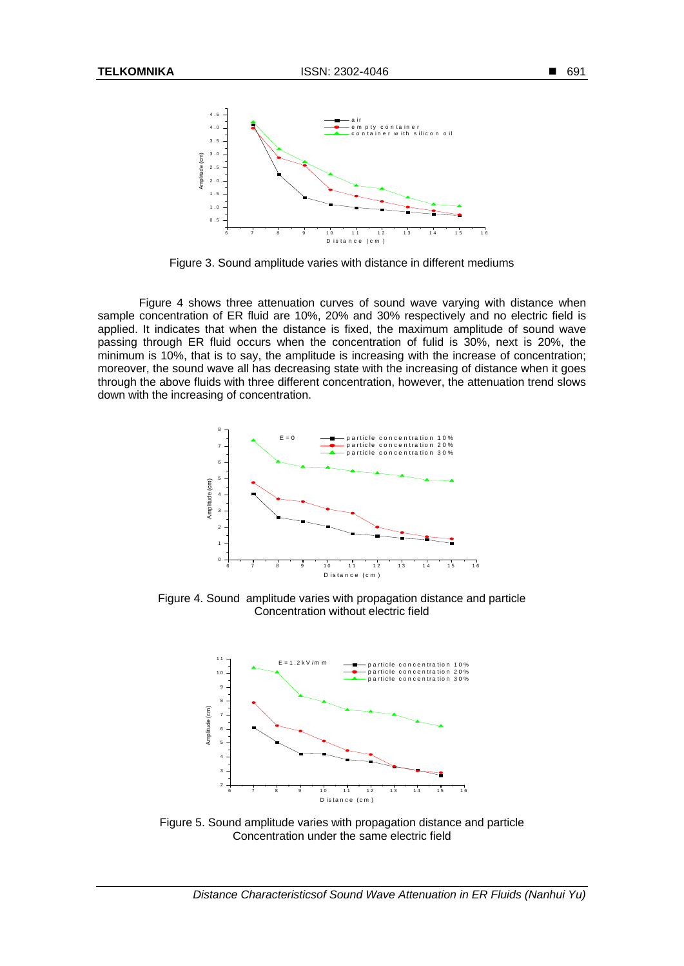

Figure 3. Sound amplitude varies with distance in different mediums

Figure 4 shows three attenuation curves of sound wave varying with distance when sample concentration of ER fluid are 10%, 20% and 30% respectively and no electric field is applied. It indicates that when the distance is fixed, the maximum amplitude of sound wave passing through ER fluid occurs when the concentration of fulid is 30%, next is 20%, the minimum is 10%, that is to say, the amplitude is increasing with the increase of concentration; moreover, the sound wave all has decreasing state with the increasing of distance when it goes through the above fluids with three different concentration, however, the attenuation trend slows down with the increasing of concentration.



Figure 4. Sound amplitude varies with propagation distance and particle Concentration without electric field



Figure 5. Sound amplitude varies with propagation distance and particle Concentration under the same electric field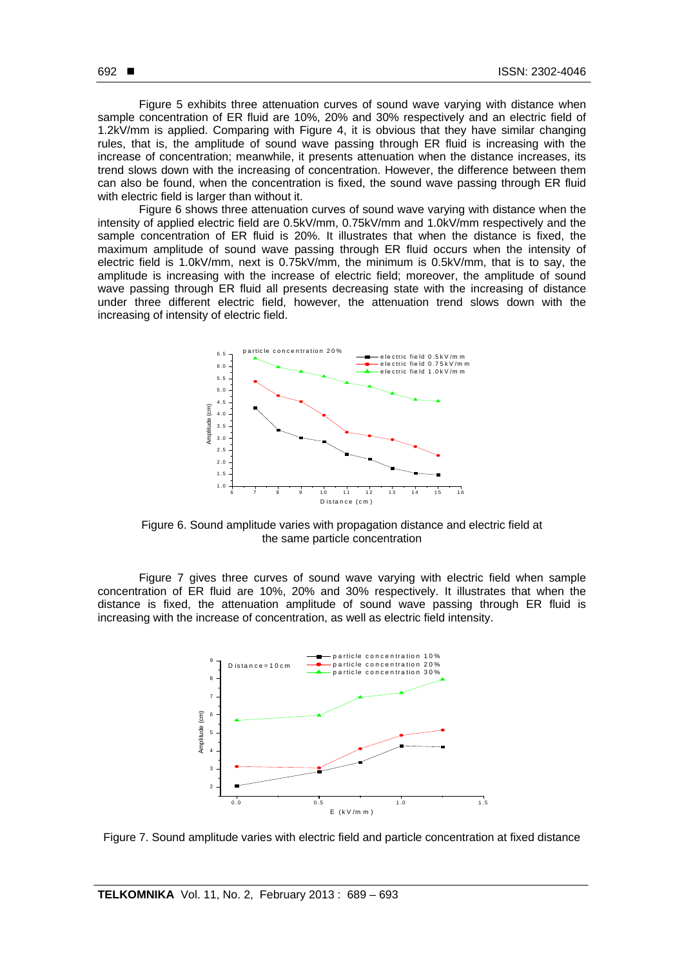Figure 5 exhibits three attenuation curves of sound wave varying with distance when sample concentration of ER fluid are 10%, 20% and 30% respectively and an electric field of 1.2kV/mm is applied. Comparing with Figure 4, it is obvious that they have similar changing rules, that is, the amplitude of sound wave passing through ER fluid is increasing with the increase of concentration; meanwhile, it presents attenuation when the distance increases, its trend slows down with the increasing of concentration. However, the difference between them can also be found, when the concentration is fixed, the sound wave passing through ER fluid with electric field is larger than without it.

Figure 6 shows three attenuation curves of sound wave varying with distance when the intensity of applied electric field are 0.5kV/mm, 0.75kV/mm and 1.0kV/mm respectively and the sample concentration of ER fluid is 20%. It illustrates that when the distance is fixed, the maximum amplitude of sound wave passing through ER fluid occurs when the intensity of electric field is 1.0kV/mm, next is 0.75kV/mm, the minimum is 0.5kV/mm, that is to say, the amplitude is increasing with the increase of electric field; moreover, the amplitude of sound wave passing through ER fluid all presents decreasing state with the increasing of distance under three different electric field, however, the attenuation trend slows down with the increasing of intensity of electric field.



Figure 6. Sound amplitude varies with propagation distance and electric field at the same particle concentration

Figure 7 gives three curves of sound wave varying with electric field when sample concentration of ER fluid are 10%, 20% and 30% respectively. It illustrates that when the distance is fixed, the attenuation amplitude of sound wave passing through ER fluid is increasing with the increase of concentration, as well as electric field intensity.



Figure 7. Sound amplitude varies with electric field and particle concentration at fixed distance